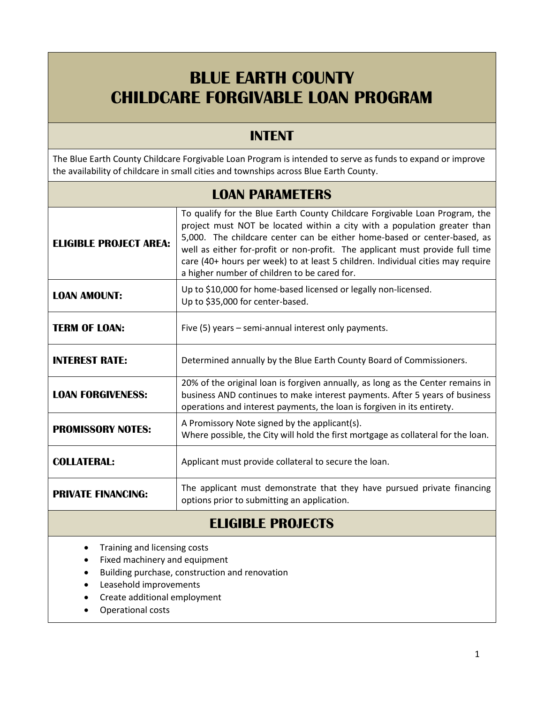# **BLUE EARTH COUNTY CHILDCARE FORGIVABLE LOAN PROGRAM**

### **INTENT**

The Blue Earth County Childcare Forgivable Loan Program is intended to serve as funds to expand or improve the availability of childcare in small cities and townships across Blue Earth County.

| <b>LOAN PARAMETERS</b>        |                                                                                                                                                                                                                                                                                                                                                                                                                                                         |  |  |  |
|-------------------------------|---------------------------------------------------------------------------------------------------------------------------------------------------------------------------------------------------------------------------------------------------------------------------------------------------------------------------------------------------------------------------------------------------------------------------------------------------------|--|--|--|
| <b>ELIGIBLE PROJECT AREA:</b> | To qualify for the Blue Earth County Childcare Forgivable Loan Program, the<br>project must NOT be located within a city with a population greater than<br>5,000. The childcare center can be either home-based or center-based, as<br>well as either for-profit or non-profit. The applicant must provide full time<br>care (40+ hours per week) to at least 5 children. Individual cities may require<br>a higher number of children to be cared for. |  |  |  |
| <b>LOAN AMOUNT:</b>           | Up to \$10,000 for home-based licensed or legally non-licensed.<br>Up to \$35,000 for center-based.                                                                                                                                                                                                                                                                                                                                                     |  |  |  |
| <b>TERM OF LOAN:</b>          | Five (5) years - semi-annual interest only payments.                                                                                                                                                                                                                                                                                                                                                                                                    |  |  |  |
| <b>INTEREST RATE:</b>         | Determined annually by the Blue Earth County Board of Commissioners.                                                                                                                                                                                                                                                                                                                                                                                    |  |  |  |
| <b>LOAN FORGIVENESS:</b>      | 20% of the original loan is forgiven annually, as long as the Center remains in<br>business AND continues to make interest payments. After 5 years of business<br>operations and interest payments, the loan is forgiven in its entirety.                                                                                                                                                                                                               |  |  |  |
| <b>PROMISSORY NOTES:</b>      | A Promissory Note signed by the applicant(s).<br>Where possible, the City will hold the first mortgage as collateral for the loan.                                                                                                                                                                                                                                                                                                                      |  |  |  |
| <b>COLLATERAL:</b>            | Applicant must provide collateral to secure the loan.                                                                                                                                                                                                                                                                                                                                                                                                   |  |  |  |
| <b>PRIVATE FINANCING:</b>     | The applicant must demonstrate that they have pursued private financing<br>options prior to submitting an application.                                                                                                                                                                                                                                                                                                                                  |  |  |  |

### **ELIGIBLE PROJECTS**

- Training and licensing costs
- Fixed machinery and equipment
- Building purchase, construction and renovation
- Leasehold improvements
- Create additional employment
- Operational costs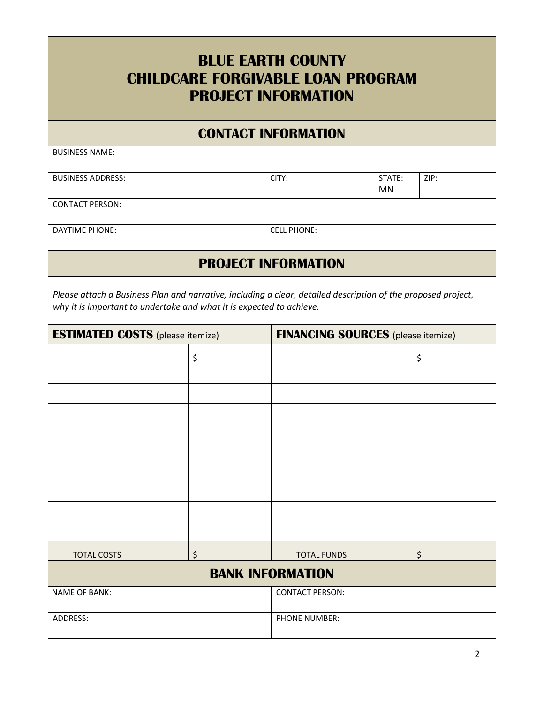| <b>BLUE EARTH COUNTY</b><br><b>CHILDCARE FORGIVABLE LOAN PROGRAM</b><br><b>PROJECT INFORMATION</b>                                                                                    |    |                                           |                     |      |  |
|---------------------------------------------------------------------------------------------------------------------------------------------------------------------------------------|----|-------------------------------------------|---------------------|------|--|
|                                                                                                                                                                                       |    | <b>CONTACT INFORMATION</b>                |                     |      |  |
| <b>BUSINESS NAME:</b>                                                                                                                                                                 |    |                                           |                     |      |  |
| <b>BUSINESS ADDRESS:</b>                                                                                                                                                              |    | CITY:                                     | STATE:<br><b>MN</b> | ZIP: |  |
| <b>CONTACT PERSON:</b>                                                                                                                                                                |    |                                           |                     |      |  |
| <b>DAYTIME PHONE:</b>                                                                                                                                                                 |    | <b>CELL PHONE:</b>                        |                     |      |  |
|                                                                                                                                                                                       |    | <b>PROJECT INFORMATION</b>                |                     |      |  |
| Please attach a Business Plan and narrative, including a clear, detailed description of the proposed project,<br>why it is important to undertake and what it is expected to achieve. |    |                                           |                     |      |  |
| <b>ESTIMATED COSTS</b> (please itemize)                                                                                                                                               |    | <b>FINANCING SOURCES</b> (please itemize) |                     |      |  |
|                                                                                                                                                                                       | \$ |                                           |                     | \$   |  |
|                                                                                                                                                                                       |    |                                           |                     |      |  |
|                                                                                                                                                                                       |    |                                           |                     |      |  |
|                                                                                                                                                                                       |    |                                           |                     |      |  |
|                                                                                                                                                                                       |    |                                           |                     |      |  |
|                                                                                                                                                                                       |    |                                           |                     |      |  |
|                                                                                                                                                                                       |    |                                           |                     |      |  |
|                                                                                                                                                                                       |    |                                           |                     |      |  |
|                                                                                                                                                                                       |    |                                           |                     |      |  |
|                                                                                                                                                                                       |    |                                           |                     |      |  |
| <b>TOTAL COSTS</b>                                                                                                                                                                    | \$ | <b>TOTAL FUNDS</b>                        |                     | \$   |  |
|                                                                                                                                                                                       |    | <b>BANK INFORMATION</b>                   |                     |      |  |
| <b>NAME OF BANK:</b>                                                                                                                                                                  |    | <b>CONTACT PERSON:</b>                    |                     |      |  |
| ADDRESS:                                                                                                                                                                              |    | <b>PHONE NUMBER:</b>                      |                     |      |  |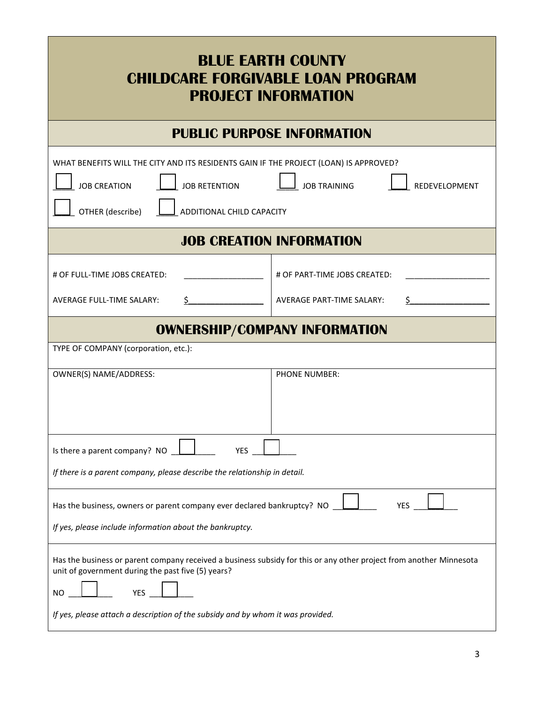| <b>BLUE EARTH COUNTY</b><br><b>CHILDCARE FORGIVABLE LOAN PROGRAM</b><br><b>PROJECT INFORMATION</b>                                                                                                                                                                        |                                                                  |  |  |  |
|---------------------------------------------------------------------------------------------------------------------------------------------------------------------------------------------------------------------------------------------------------------------------|------------------------------------------------------------------|--|--|--|
| <b>PUBLIC PURPOSE INFORMATION</b>                                                                                                                                                                                                                                         |                                                                  |  |  |  |
| WHAT BENEFITS WILL THE CITY AND ITS RESIDENTS GAIN IF THE PROJECT (LOAN) IS APPROVED?<br><b>JOB RETENTION</b><br><b>JOB CREATION</b><br><b>JOB TRAINING</b><br>REDEVELOPMENT<br>OTHER (describe)<br>ADDITIONAL CHILD CAPACITY                                             |                                                                  |  |  |  |
| <b>JOB CREATION INFORMATION</b>                                                                                                                                                                                                                                           |                                                                  |  |  |  |
| # OF FULL-TIME JOBS CREATED:<br><b>AVERAGE FULL-TIME SALARY:</b><br>$\zeta$                                                                                                                                                                                               | # OF PART-TIME JOBS CREATED:<br><b>AVERAGE PART-TIME SALARY:</b> |  |  |  |
| <b>OWNERSHIP/COMPANY INFORMATION</b>                                                                                                                                                                                                                                      |                                                                  |  |  |  |
| TYPE OF COMPANY (corporation, etc.):                                                                                                                                                                                                                                      |                                                                  |  |  |  |
| OWNER(S) NAME/ADDRESS:                                                                                                                                                                                                                                                    | PHONE NUMBER:                                                    |  |  |  |
| Is there a parent company? NO<br><b>YFS</b>                                                                                                                                                                                                                               |                                                                  |  |  |  |
| If there is a parent company, please describe the relationship in detail.                                                                                                                                                                                                 |                                                                  |  |  |  |
| Has the business, owners or parent company ever declared bankruptcy? NO<br><b>YES</b><br>If yes, please include information about the bankruptcy.                                                                                                                         |                                                                  |  |  |  |
| Has the business or parent company received a business subsidy for this or any other project from another Minnesota<br>unit of government during the past five (5) years?<br>YES<br>ΝO<br>If yes, please attach a description of the subsidy and by whom it was provided. |                                                                  |  |  |  |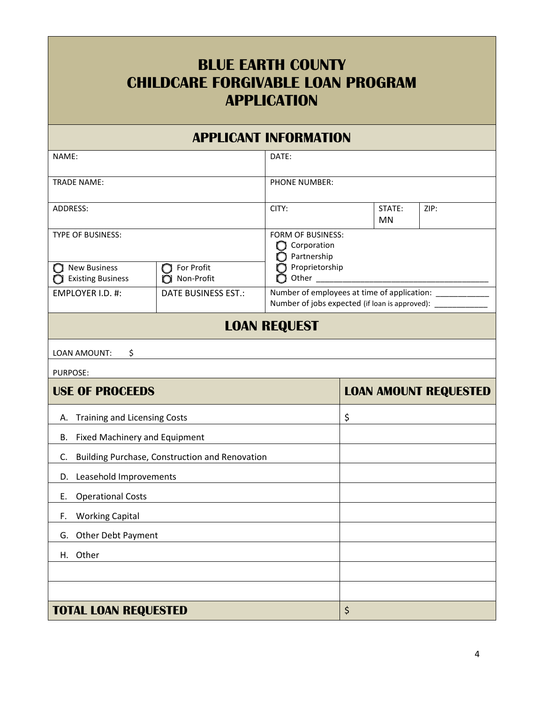## **BLUE EARTH COUNTY CHILDCARE FORGIVABLE LOAN PROGRAM APPLICATION**

#### **APPLICANT INFORMATION**

| NAME:                                                                    |                                          | DATE:                                                                                                       |    |                              |  |
|--------------------------------------------------------------------------|------------------------------------------|-------------------------------------------------------------------------------------------------------------|----|------------------------------|--|
| <b>TRADE NAME:</b>                                                       |                                          | PHONE NUMBER:                                                                                               |    |                              |  |
| ADDRESS:                                                                 |                                          | CITY:<br>STATE:<br><b>MN</b>                                                                                |    | ZIP:                         |  |
| <b>TYPE OF BUSINESS:</b><br><b>New Business</b><br>For Profit<br>CΙ<br>U |                                          | <b>FORM OF BUSINESS:</b><br>Corporation<br>Partnership<br>Proprietorship<br>n                               |    |                              |  |
| <b>Existing Business</b><br>EMPLOYER I.D. #:                             | Non-Profit<br><b>DATE BUSINESS EST.:</b> | Other<br>Number of employees at time of application: ____<br>Number of jobs expected (if loan is approved): |    |                              |  |
|                                                                          |                                          | <b>LOAN REQUEST</b>                                                                                         |    |                              |  |
| LOAN AMOUNT:<br>\$                                                       |                                          |                                                                                                             |    |                              |  |
| <b>PURPOSE:</b>                                                          |                                          |                                                                                                             |    |                              |  |
| <b>USE OF PROCEEDS</b>                                                   |                                          |                                                                                                             |    | <b>LOAN AMOUNT REQUESTED</b> |  |
| <b>Training and Licensing Costs</b><br>Α.                                |                                          | \$                                                                                                          |    |                              |  |
| <b>Fixed Machinery and Equipment</b><br>В.                               |                                          |                                                                                                             |    |                              |  |
| Building Purchase, Construction and Renovation<br>C.                     |                                          |                                                                                                             |    |                              |  |
| Leasehold Improvements<br>D.                                             |                                          |                                                                                                             |    |                              |  |
| <b>Operational Costs</b><br>Е.                                           |                                          |                                                                                                             |    |                              |  |
| <b>Working Capital</b><br>F.                                             |                                          |                                                                                                             |    |                              |  |
| Other Debt Payment<br>G.                                                 |                                          |                                                                                                             |    |                              |  |
| H. Other                                                                 |                                          |                                                                                                             |    |                              |  |
|                                                                          |                                          |                                                                                                             |    |                              |  |
|                                                                          |                                          |                                                                                                             |    |                              |  |
| <b>TOTAL LOAN REQUESTED</b>                                              |                                          |                                                                                                             | \$ |                              |  |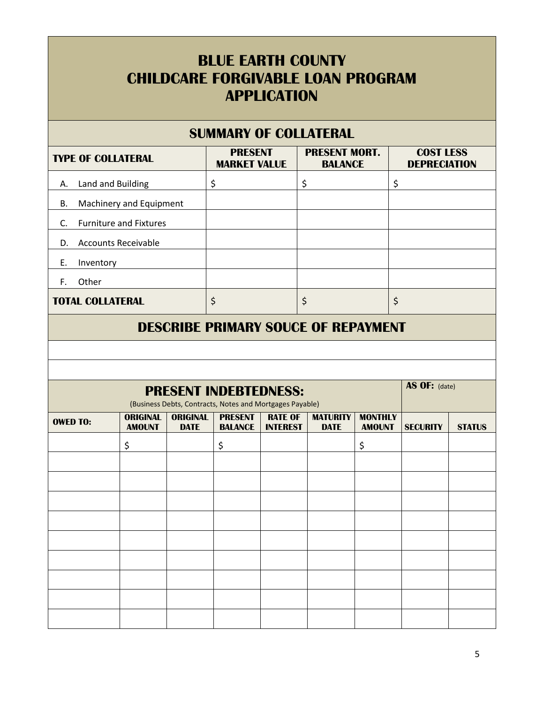### **BLUE EARTH COUNTY CHILDCARE FORGIVABLE LOAN PROGRAM APPLICATION**

#### **SUMMARY OF COLLATERAL TYPE OF COLLATERAL PRESENT MARKET VALUE PRESENT MORT. BALANCE COST LESS DEPRECIATION** A. Land and Building  $\begin{array}{ccc} \vert \xi \end{array}$   $\begin{array}{ccc} \vert \xi \end{array}$   $\begin{array}{ccc} \vert \xi \end{array}$ B. Machinery and Equipment C. Furniture and Fixtures D. Accounts Receivable E. Inventory F. Other **TOTAL COLLATERAL**  $\begin{array}{c|c} \hline \text{S} & \text{S} & \text{S} \end{array}$

#### **DESCRIBE PRIMARY SOUCE OF REPAYMENT**

### **PRESENT INDEBTEDNESS:**

(Business Debts, Contracts, Notes and Mortgages Payable) **OWED TO: ORIGINAL AMOUNT ORIGINAL DATE PRESENT BALANCE RATE OF INTEREST MATURITY DATE MONTHLY AMOUNT SECURITY STATUS** \$ \$ \$

**AS OF:** (date)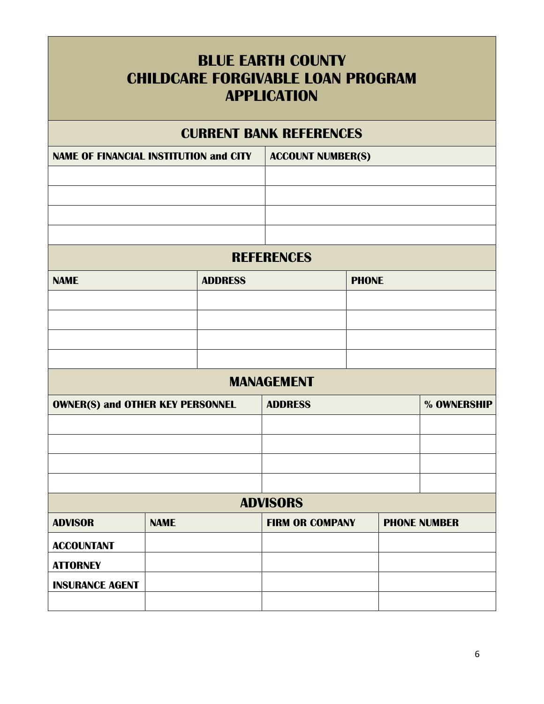| <b>BLUE EARTH COUNTY</b><br><b>CHILDCARE FORGIVABLE LOAN PROGRAM</b><br><b>APPLICATION</b> |             |                |                                |              |             |                     |
|--------------------------------------------------------------------------------------------|-------------|----------------|--------------------------------|--------------|-------------|---------------------|
|                                                                                            |             |                | <b>CURRENT BANK REFERENCES</b> |              |             |                     |
| <b>NAME OF FINANCIAL INSTITUTION and CITY</b><br><b>ACCOUNT NUMBER(S)</b>                  |             |                |                                |              |             |                     |
|                                                                                            |             |                |                                |              |             |                     |
|                                                                                            |             |                |                                |              |             |                     |
|                                                                                            |             |                |                                |              |             |                     |
|                                                                                            |             |                |                                |              |             |                     |
|                                                                                            |             |                | <b>REFERENCES</b>              |              |             |                     |
| <b>NAME</b>                                                                                |             | <b>ADDRESS</b> |                                | <b>PHONE</b> |             |                     |
|                                                                                            |             |                |                                |              |             |                     |
|                                                                                            |             |                |                                |              |             |                     |
|                                                                                            |             |                |                                |              |             |                     |
|                                                                                            |             |                |                                |              |             |                     |
|                                                                                            |             |                | <b>MANAGEMENT</b>              |              |             |                     |
| <b>OWNER(S) and OTHER KEY PERSONNEL</b>                                                    |             | <b>ADDRESS</b> |                                |              | % OWNERSHIP |                     |
|                                                                                            |             |                |                                |              |             |                     |
|                                                                                            |             |                |                                |              |             |                     |
|                                                                                            |             |                |                                |              |             |                     |
|                                                                                            |             |                |                                |              |             |                     |
| <b>ADVISORS</b>                                                                            |             |                |                                |              |             |                     |
| <b>ADVISOR</b>                                                                             | <b>NAME</b> |                | <b>FIRM OR COMPANY</b>         |              |             | <b>PHONE NUMBER</b> |
| <b>ACCOUNTANT</b>                                                                          |             |                |                                |              |             |                     |
| <b>ATTORNEY</b>                                                                            |             |                |                                |              |             |                     |
| <b>INSURANCE AGENT</b>                                                                     |             |                |                                |              |             |                     |
|                                                                                            |             |                |                                |              |             |                     |

Т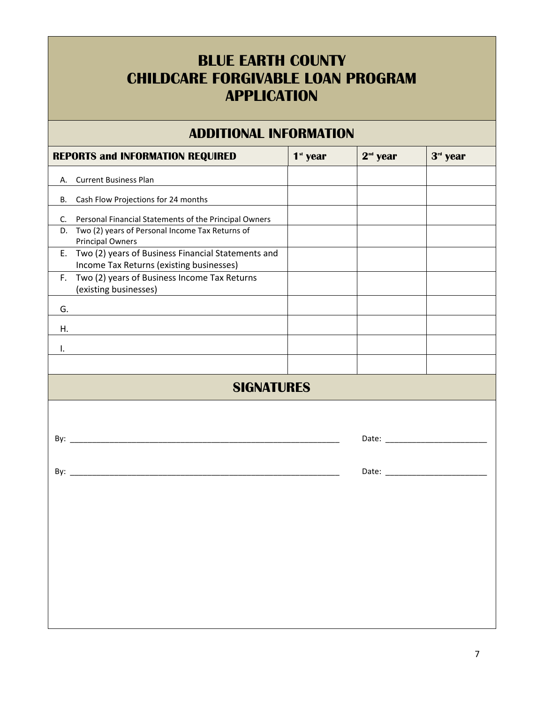## **BLUE EARTH COUNTY CHILDCARE FORGIVABLE LOAN PROGRAM APPLICATION**

#### **ADDITIONAL INFORMATION**

|                   | <b>REPORTS and INFORMATION REQUIRED</b>                                                           | $1st$ year | $2nd$ year | 3rd year |  |  |
|-------------------|---------------------------------------------------------------------------------------------------|------------|------------|----------|--|--|
|                   | A. Current Business Plan                                                                          |            |            |          |  |  |
| <b>B.</b>         | Cash Flow Projections for 24 months                                                               |            |            |          |  |  |
| C.                | Personal Financial Statements of the Principal Owners                                             |            |            |          |  |  |
|                   | D. Two (2) years of Personal Income Tax Returns of<br><b>Principal Owners</b>                     |            |            |          |  |  |
|                   | E. Two (2) years of Business Financial Statements and<br>Income Tax Returns (existing businesses) |            |            |          |  |  |
|                   | F. Two (2) years of Business Income Tax Returns<br>(existing businesses)                          |            |            |          |  |  |
| G.                |                                                                                                   |            |            |          |  |  |
| Η.                |                                                                                                   |            |            |          |  |  |
| Ι.                |                                                                                                   |            |            |          |  |  |
|                   |                                                                                                   |            |            |          |  |  |
| <b>SIGNATURES</b> |                                                                                                   |            |            |          |  |  |
|                   |                                                                                                   |            |            |          |  |  |
|                   |                                                                                                   |            |            |          |  |  |
|                   |                                                                                                   |            |            |          |  |  |
|                   |                                                                                                   |            |            |          |  |  |
|                   |                                                                                                   |            |            |          |  |  |
|                   |                                                                                                   |            |            |          |  |  |
|                   |                                                                                                   |            |            |          |  |  |
|                   |                                                                                                   |            |            |          |  |  |
|                   |                                                                                                   |            |            |          |  |  |
|                   |                                                                                                   |            |            |          |  |  |
|                   |                                                                                                   |            |            |          |  |  |
|                   |                                                                                                   |            |            |          |  |  |